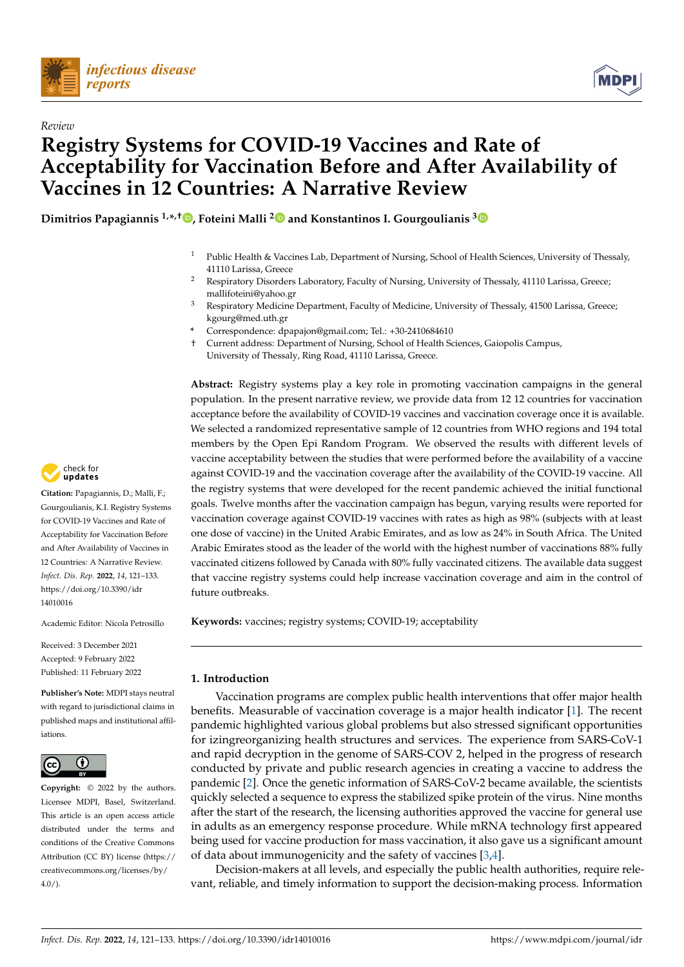

*Review*



# **Registry Systems for COVID-19 Vaccines and Rate of Acceptability for Vaccination Before and After Availability of Vaccines in 12 Countries: A Narrative Review**

**Dimitrios Papagiannis 1,\* ,† [,](https://orcid.org/0000-0001-6123-559X) Foteini Malli [2](https://orcid.org/0000-0002-7595-6715) and Konstantinos I. Gourgoulianis [3](https://orcid.org/0000-0001-9541-1010)**

- Public Health & Vaccines Lab, Department of Nursing, School of Health Sciences, University of Thessaly, 41110 Larissa, Greece
- <sup>2</sup> Respiratory Disorders Laboratory, Faculty of Nursing, University of Thessaly, 41110 Larissa, Greece; mallifoteini@yahoo.gr
- <sup>3</sup> Respiratory Medicine Department, Faculty of Medicine, University of Thessaly, 41500 Larissa, Greece; kgourg@med.uth.gr
- **\*** Correspondence: dpapajon@gmail.com; Tel.: +30-2410684610
- † Current address: Department of Nursing, School of Health Sciences, Gaiopolis Campus, University of Thessaly, Ring Road, 41110 Larissa, Greece.

**Abstract:** Registry systems play a key role in promoting vaccination campaigns in the general population. In the present narrative review, we provide data from 12 12 countries for vaccination acceptance before the availability of COVID-19 vaccines and vaccination coverage once it is available. We selected a randomized representative sample of 12 countries from WHO regions and 194 total members by the Open Epi Random Program. We observed the results with different levels of vaccine acceptability between the studies that were performed before the availability of a vaccine against COVID-19 and the vaccination coverage after the availability of the COVID-19 vaccine. All the registry systems that were developed for the recent pandemic achieved the initial functional goals. Twelve months after the vaccination campaign has begun, varying results were reported for vaccination coverage against COVID-19 vaccines with rates as high as 98% (subjects with at least one dose of vaccine) in the United Arabic Emirates, and as low as 24% in South Africa. The United Arabic Emirates stood as the leader of the world with the highest number of vaccinations 88% fully vaccinated citizens followed by Canada with 80% fully vaccinated citizens. The available data suggest that vaccine registry systems could help increase vaccination coverage and aim in the control of future outbreaks.

**Keywords:** vaccines; registry systems; COVID-19; acceptability

## **1. Introduction**

Vaccination programs are complex public health interventions that offer major health benefits. Measurable of vaccination coverage is a major health indicator [\[1\]](#page-9-0). The recent pandemic highlighted various global problems but also stressed significant opportunities for izingreorganizing health structures and services. The experience from SARS-CoV-1 and rapid decryption in the genome of SARS-COV 2, helped in the progress of research conducted by private and public research agencies in creating a vaccine to address the pandemic [\[2\]](#page-9-1). Once the genetic information of SARS-CoV-2 became available, the scientists quickly selected a sequence to express the stabilized spike protein of the virus. Nine months after the start of the research, the licensing authorities approved the vaccine for general use in adults as an emergency response procedure. While mRNA technology first appeared being used for vaccine production for mass vaccination, it also gave us a significant amount of data about immunogenicity and the safety of vaccines [\[3](#page-9-2)[,4\]](#page-9-3).

Decision-makers at all levels, and especially the public health authorities, require relevant, reliable, and timely information to support the decision-making process. Information



**Citation:** Papagiannis, D.; Malli, F.; Gourgoulianis, K.I. Registry Systems for COVID-19 Vaccines and Rate of Acceptability for Vaccination Before and After Availability of Vaccines in 12 Countries: A Narrative Review. *Infect. Dis. Rep.* **2022**, *14*, 121–133. [https://doi.org/10.3390/idr](https://doi.org/10.3390/idr14010016) [14010016](https://doi.org/10.3390/idr14010016)

Academic Editor: Nicola Petrosillo

Received: 3 December 2021 Accepted: 9 February 2022 Published: 11 February 2022

**Publisher's Note:** MDPI stays neutral with regard to jurisdictional claims in published maps and institutional affiliations.



**Copyright:** © 2022 by the authors. Licensee MDPI, Basel, Switzerland. This article is an open access article distributed under the terms and conditions of the Creative Commons Attribution (CC BY) license [\(https://](https://creativecommons.org/licenses/by/4.0/) [creativecommons.org/licenses/by/](https://creativecommons.org/licenses/by/4.0/)  $4.0/$ ).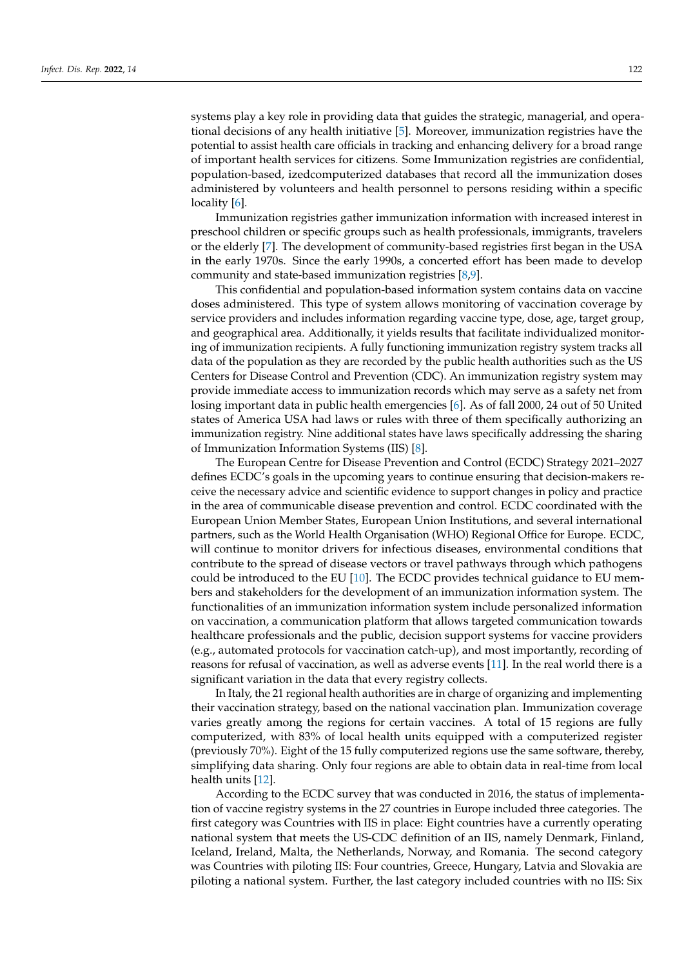systems play a key role in providing data that guides the strategic, managerial, and operational decisions of any health initiative [\[5\]](#page-10-0). Moreover, immunization registries have the potential to assist health care officials in tracking and enhancing delivery for a broad range of important health services for citizens. Some Immunization registries are confidential, population-based, izedcomputerized databases that record all the immunization doses administered by volunteers and health personnel to persons residing within a specific locality [\[6\]](#page-10-1).

Immunization registries gather immunization information with increased interest in preschool children or specific groups such as health professionals, immigrants, travelers or the elderly [\[7\]](#page-10-2). The development of community-based registries first began in the USA in the early 1970s. Since the early 1990s, a concerted effort has been made to develop community and state-based immunization registries [\[8,](#page-10-3)[9\]](#page-10-4).

This confidential and population-based information system contains data on vaccine doses administered. This type of system allows monitoring of vaccination coverage by service providers and includes information regarding vaccine type, dose, age, target group, and geographical area. Additionally, it yields results that facilitate individualized monitoring of immunization recipients. A fully functioning immunization registry system tracks all data of the population as they are recorded by the public health authorities such as the US Centers for Disease Control and Prevention (CDC). An immunization registry system may provide immediate access to immunization records which may serve as a safety net from losing important data in public health emergencies [\[6\]](#page-10-1). As of fall 2000, 24 out of 50 United states of America USA had laws or rules with three of them specifically authorizing an immunization registry. Nine additional states have laws specifically addressing the sharing of Immunization Information Systems (IIS) [\[8\]](#page-10-3).

The European Centre for Disease Prevention and Control (ECDC) Strategy 2021–2027 defines ECDC's goals in the upcoming years to continue ensuring that decision-makers receive the necessary advice and scientific evidence to support changes in policy and practice in the area of communicable disease prevention and control. ECDC coordinated with the European Union Member States, European Union Institutions, and several international partners, such as the World Health Organisation (WHO) Regional Office for Europe. ECDC, will continue to monitor drivers for infectious diseases, environmental conditions that contribute to the spread of disease vectors or travel pathways through which pathogens could be introduced to the EU [\[10\]](#page-10-5). The ECDC provides technical guidance to EU members and stakeholders for the development of an immunization information system. The functionalities of an immunization information system include personalized information on vaccination, a communication platform that allows targeted communication towards healthcare professionals and the public, decision support systems for vaccine providers (e.g., automated protocols for vaccination catch-up), and most importantly, recording of reasons for refusal of vaccination, as well as adverse events [\[11\]](#page-10-6). In the real world there is a significant variation in the data that every registry collects.

In Italy, the 21 regional health authorities are in charge of organizing and implementing their vaccination strategy, based on the national vaccination plan. Immunization coverage varies greatly among the regions for certain vaccines. A total of 15 regions are fully computerized, with 83% of local health units equipped with a computerized register (previously 70%). Eight of the 15 fully computerized regions use the same software, thereby, simplifying data sharing. Only four regions are able to obtain data in real-time from local health units [\[12\]](#page-10-7).

According to the ECDC survey that was conducted in 2016, the status of implementation of vaccine registry systems in the 27 countries in Europe included three categories. The first category was Countries with IIS in place: Eight countries have a currently operating national system that meets the US-CDC definition of an IIS, namely Denmark, Finland, Iceland, Ireland, Malta, the Netherlands, Norway, and Romania. The second category was Countries with piloting IIS: Four countries, Greece, Hungary, Latvia and Slovakia are piloting a national system. Further, the last category included countries with no IIS: Six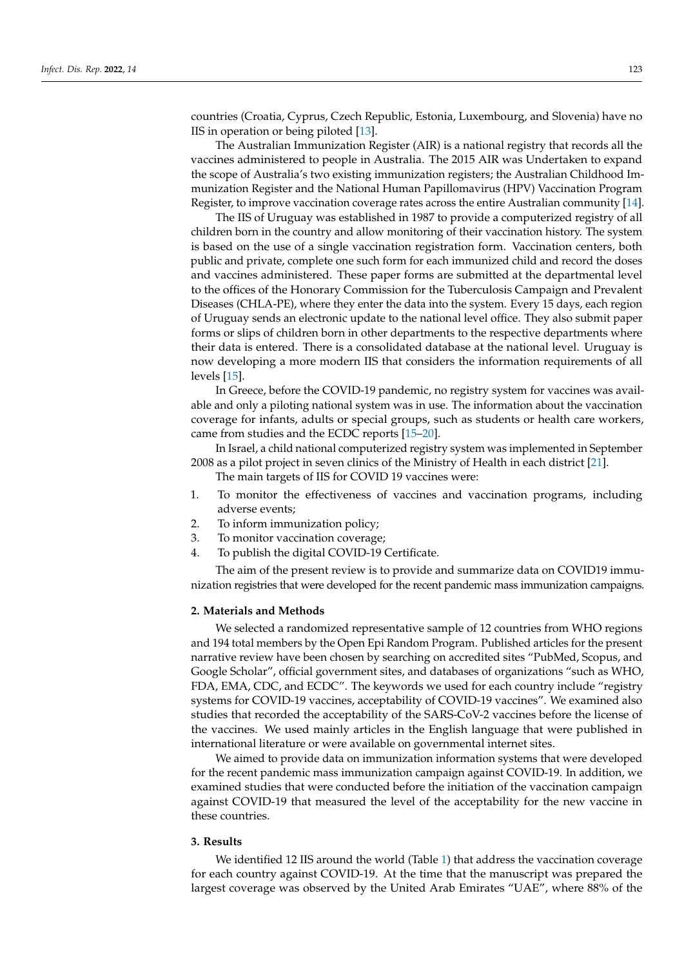countries (Croatia, Cyprus, Czech Republic, Estonia, Luxembourg, and Slovenia) have no IIS in operation or being piloted [\[13\]](#page-10-8).

The Australian Immunization Register (AIR) is a national registry that records all the vaccines administered to people in Australia. The 2015 AIR was Undertaken to expand the scope of Australia's two existing immunization registers; the Australian Childhood Immunization Register and the National Human Papillomavirus (HPV) Vaccination Program Register, to improve vaccination coverage rates across the entire Australian community [\[14\]](#page-10-9).

The IIS of Uruguay was established in 1987 to provide a computerized registry of all children born in the country and allow monitoring of their vaccination history. The system is based on the use of a single vaccination registration form. Vaccination centers, both public and private, complete one such form for each immunized child and record the doses and vaccines administered. These paper forms are submitted at the departmental level to the offices of the Honorary Commission for the Tuberculosis Campaign and Prevalent Diseases (CHLA-PE), where they enter the data into the system. Every 15 days, each region of Uruguay sends an electronic update to the national level office. They also submit paper forms or slips of children born in other departments to the respective departments where their data is entered. There is a consolidated database at the national level. Uruguay is now developing a more modern IIS that considers the information requirements of all levels [\[15\]](#page-10-10).

In Greece, before the COVID-19 pandemic, no registry system for vaccines was available and only a piloting national system was in use. The information about the vaccination coverage for infants, adults or special groups, such as students or health care workers, came from studies and the ECDC reports [\[15–](#page-10-10)[20\]](#page-10-11).

In Israel, a child national computerized registry system was implemented in September 2008 as a pilot project in seven clinics of the Ministry of Health in each district [\[21\]](#page-10-12).

The main targets of IIS for COVID 19 vaccines were:

- 1. To monitor the effectiveness of vaccines and vaccination programs, including adverse events;
- 2. To inform immunization policy;
- 3. To monitor vaccination coverage;
- 4. To publish the digital COVID-19 Certificate.

The aim of the present review is to provide and summarize data on COVID19 immunization registries that were developed for the recent pandemic mass immunization campaigns.

#### **2. Materials and Methods**

We selected a randomized representative sample of 12 countries from WHO regions and 194 total members by the Open Epi Random Program. Published articles for the present narrative review have been chosen by searching on accredited sites "PubMed, Scopus, and Google Scholar", official government sites, and databases of organizations "such as WHO, FDA, EMA, CDC, and ECDC". The keywords we used for each country include "registry systems for COVID-19 vaccines, acceptability of COVID-19 vaccines". We examined also studies that recorded the acceptability of the SARS-CoV-2 vaccines before the license of the vaccines. We used mainly articles in the English language that were published in international literature or were available on governmental internet sites.

We aimed to provide data on immunization information systems that were developed for the recent pandemic mass immunization campaign against COVID-19. In addition, we examined studies that were conducted before the initiation of the vaccination campaign against COVID-19 that measured the level of the acceptability for the new vaccine in these countries.

#### **3. Results**

We identified 12 IIS around the world (Table [1\)](#page-4-0) that address the vaccination coverage for each country against COVID-19. At the time that the manuscript was prepared the largest coverage was observed by the United Arab Emirates "UAE", where 88% of the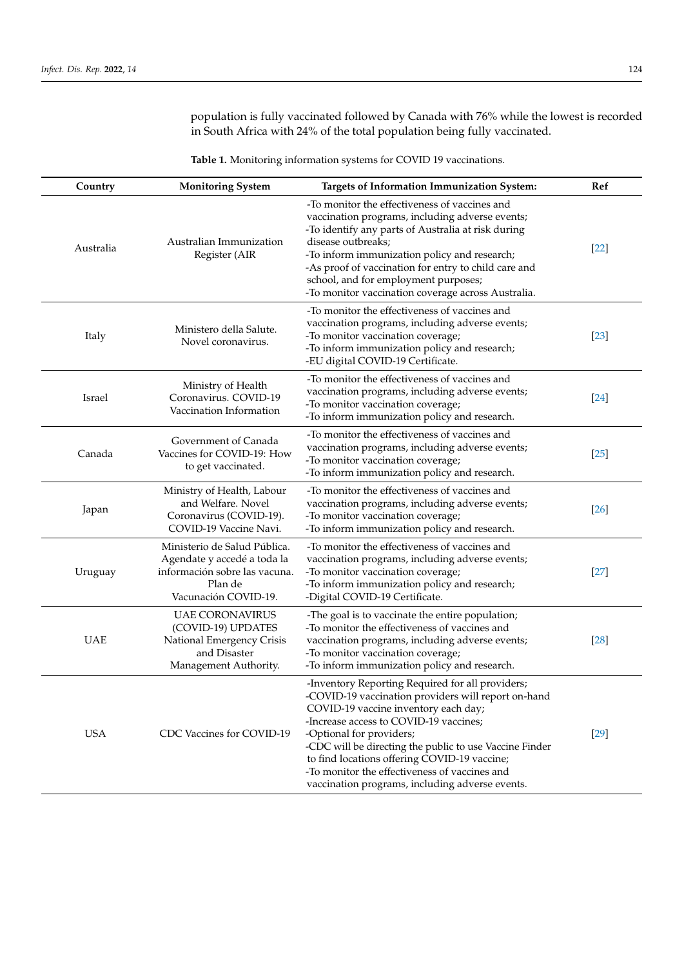population is fully vaccinated followed by Canada with 76% while the lowest is recorded in South Africa with 24% of the total population being fully vaccinated.

**Table 1.** Monitoring information systems for COVID 19 vaccinations.

| Country    | <b>Monitoring System</b>                                                                                                        | <b>Targets of Information Immunization System:</b>                                                                                                                                                                                                                                                                                                                                                                                   | Ref    |
|------------|---------------------------------------------------------------------------------------------------------------------------------|--------------------------------------------------------------------------------------------------------------------------------------------------------------------------------------------------------------------------------------------------------------------------------------------------------------------------------------------------------------------------------------------------------------------------------------|--------|
| Australia  | Australian Immunization<br>Register (AIR                                                                                        | -To monitor the effectiveness of vaccines and<br>vaccination programs, including adverse events;<br>-To identify any parts of Australia at risk during<br>disease outbreaks;<br>-To inform immunization policy and research;<br>-As proof of vaccination for entry to child care and<br>school, and for employment purposes;<br>-To monitor vaccination coverage across Australia.                                                   | $[22]$ |
| Italy      | Ministero della Salute.<br>Novel coronavirus.                                                                                   | -To monitor the effectiveness of vaccines and<br>vaccination programs, including adverse events;<br>-To monitor vaccination coverage;<br>-To inform immunization policy and research;<br>-EU digital COVID-19 Certificate.                                                                                                                                                                                                           | $[23]$ |
| Israel     | Ministry of Health<br>Coronavirus. COVID-19<br>Vaccination Information                                                          | -To monitor the effectiveness of vaccines and<br>vaccination programs, including adverse events;<br>-To monitor vaccination coverage;<br>-To inform immunization policy and research.                                                                                                                                                                                                                                                | $[24]$ |
| Canada     | Government of Canada<br>Vaccines for COVID-19: How<br>to get vaccinated.                                                        | -To monitor the effectiveness of vaccines and<br>vaccination programs, including adverse events;<br>-To monitor vaccination coverage;<br>-To inform immunization policy and research.                                                                                                                                                                                                                                                | $[25]$ |
| Japan      | Ministry of Health, Labour<br>and Welfare. Novel<br>Coronavirus (COVID-19).<br>COVID-19 Vaccine Navi.                           | -To monitor the effectiveness of vaccines and<br>vaccination programs, including adverse events;<br>-To monitor vaccination coverage;<br>-To inform immunization policy and research.                                                                                                                                                                                                                                                | [26]   |
| Uruguay    | Ministerio de Salud Pública.<br>Agendate y accedé a toda la<br>información sobre las vacuna.<br>Plan de<br>Vacunación COVID-19. | -To monitor the effectiveness of vaccines and<br>vaccination programs, including adverse events;<br>-To monitor vaccination coverage;<br>-To inform immunization policy and research;<br>-Digital COVID-19 Certificate.                                                                                                                                                                                                              | $[27]$ |
| <b>UAE</b> | <b>UAE CORONAVIRUS</b><br>(COVID-19) UPDATES<br>National Emergency Crisis<br>and Disaster<br>Management Authority.              | -The goal is to vaccinate the entire population;<br>-To monitor the effectiveness of vaccines and<br>vaccination programs, including adverse events;<br>-To monitor vaccination coverage;<br>-To inform immunization policy and research.                                                                                                                                                                                            | $[28]$ |
| <b>USA</b> | CDC Vaccines for COVID-19                                                                                                       | -Inventory Reporting Required for all providers;<br>-COVID-19 vaccination providers will report on-hand<br>COVID-19 vaccine inventory each day;<br>-Increase access to COVID-19 vaccines;<br>-Optional for providers;<br>-CDC will be directing the public to use Vaccine Finder<br>to find locations offering COVID-19 vaccine;<br>-To monitor the effectiveness of vaccines and<br>vaccination programs, including adverse events. | $[29]$ |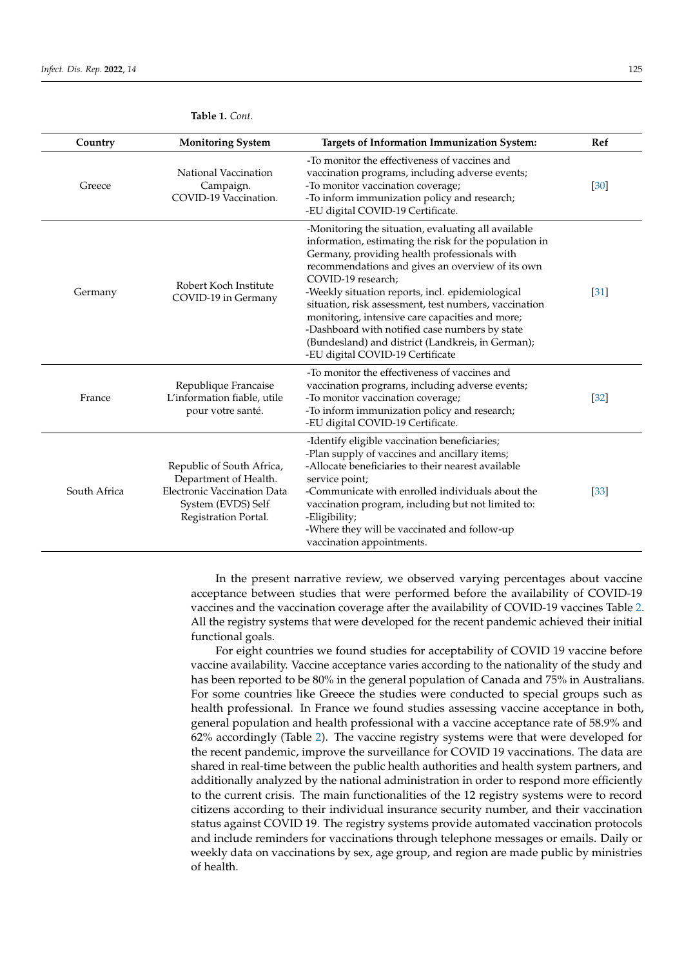| Country      | <b>Targets of Information Immunization System:</b><br><b>Monitoring System</b>                                                                                                                                                                                                                                                                                                                                                                                                                                           |                                                                                                                                                                                                                                                                                                                                                                                                                                                                                                                                                    | Ref               |
|--------------|--------------------------------------------------------------------------------------------------------------------------------------------------------------------------------------------------------------------------------------------------------------------------------------------------------------------------------------------------------------------------------------------------------------------------------------------------------------------------------------------------------------------------|----------------------------------------------------------------------------------------------------------------------------------------------------------------------------------------------------------------------------------------------------------------------------------------------------------------------------------------------------------------------------------------------------------------------------------------------------------------------------------------------------------------------------------------------------|-------------------|
| Greece       | National Vaccination<br>Campaign.<br>COVID-19 Vaccination.                                                                                                                                                                                                                                                                                                                                                                                                                                                               | -To monitor the effectiveness of vaccines and<br>vaccination programs, including adverse events;<br>-To monitor vaccination coverage;<br>-To inform immunization policy and research;<br>-EU digital COVID-19 Certificate.                                                                                                                                                                                                                                                                                                                         | [30]              |
| Germany      | Robert Koch Institute<br>COVID-19 in Germany                                                                                                                                                                                                                                                                                                                                                                                                                                                                             | -Monitoring the situation, evaluating all available<br>information, estimating the risk for the population in<br>Germany, providing health professionals with<br>recommendations and gives an overview of its own<br>COVID-19 research;<br>-Weekly situation reports, incl. epidemiological<br>situation, risk assessment, test numbers, vaccination<br>monitoring, intensive care capacities and more;<br>-Dashboard with notified case numbers by state<br>(Bundesland) and district (Landkreis, in German);<br>-EU digital COVID-19 Certificate | $[31]$            |
| France       | Republique Francaise<br>L'information fiable, utile<br>pour votre santé.                                                                                                                                                                                                                                                                                                                                                                                                                                                 | -To monitor the effectiveness of vaccines and<br>vaccination programs, including adverse events;<br>-To monitor vaccination coverage;<br>-To inform immunization policy and research;<br>-EU digital COVID-19 Certificate.                                                                                                                                                                                                                                                                                                                         | $\left[32\right]$ |
| South Africa | -Identify eligible vaccination beneficiaries;<br>-Plan supply of vaccines and ancillary items;<br>-Allocate beneficiaries to their nearest available<br>Republic of South Africa,<br>Department of Health.<br>service point;<br><b>Electronic Vaccination Data</b><br>-Communicate with enrolled individuals about the<br>System (EVDS) Self<br>vaccination program, including but not limited to:<br>Registration Portal.<br>-Eligibility;<br>-Where they will be vaccinated and follow-up<br>vaccination appointments. |                                                                                                                                                                                                                                                                                                                                                                                                                                                                                                                                                    | [33]              |

## <span id="page-4-0"></span>**Table 1.** *Cont.*

In the present narrative review, we observed varying percentages about vaccine acceptance between studies that were performed before the availability of COVID-19 vaccines and the vaccination coverage after the availability of COVID-19 vaccines Table [2.](#page-5-0) All the registry systems that were developed for the recent pandemic achieved their initial functional goals.

For eight countries we found studies for acceptability of COVID 19 vaccine before vaccine availability. Vaccine acceptance varies according to the nationality of the study and has been reported to be 80% in the general population of Canada and 75% in Australians. For some countries like Greece the studies were conducted to special groups such as health professional. In France we found studies assessing vaccine acceptance in both, general population and health professional with a vaccine acceptance rate of 58.9% and 62% accordingly (Table [2\)](#page-5-0). The vaccine registry systems were that were developed for the recent pandemic, improve the surveillance for COVID 19 vaccinations. The data are shared in real-time between the public health authorities and health system partners, and additionally analyzed by the national administration in order to respond more efficiently to the current crisis. The main functionalities of the 12 registry systems were to record citizens according to their individual insurance security number, and their vaccination status against COVID 19. The registry systems provide automated vaccination protocols and include reminders for vaccinations through telephone messages or emails. Daily or weekly data on vaccinations by sex, age group, and region are made public by ministries of health.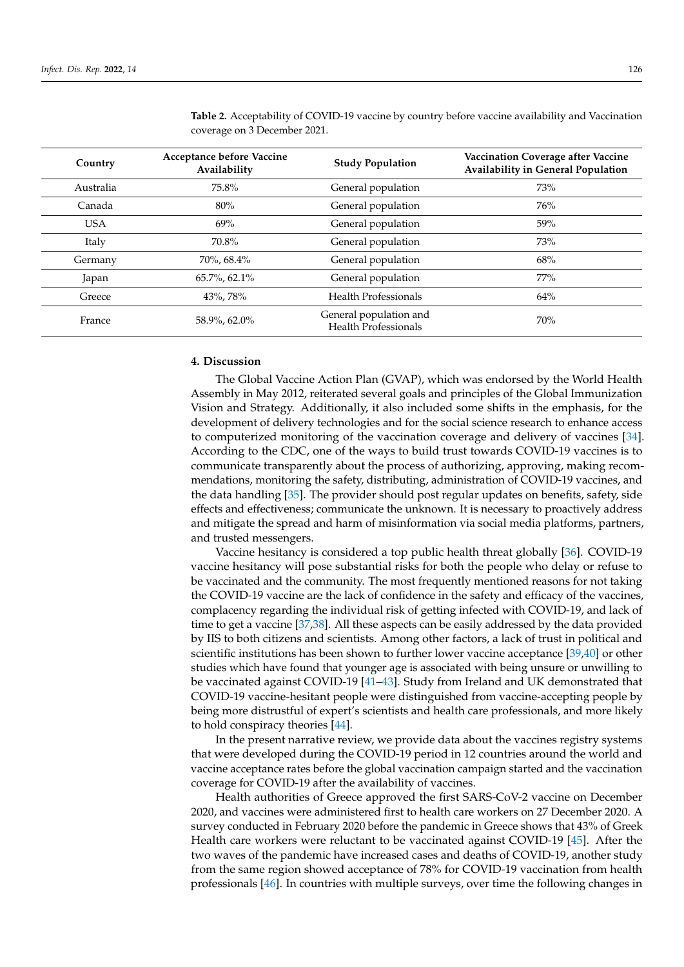| Country    | Acceptance before Vaccine<br>Availability | <b>Study Population</b>                               | <b>Vaccination Coverage after Vaccine</b><br>Availability in General Population |
|------------|-------------------------------------------|-------------------------------------------------------|---------------------------------------------------------------------------------|
| Australia  | 75.8%                                     | General population                                    | 73%                                                                             |
| Canada     | 80%                                       | General population                                    | 76%                                                                             |
| <b>USA</b> | 69%                                       | General population                                    | 59%                                                                             |
| Italy      | 70.8%                                     | General population                                    | 73%                                                                             |
| Germany    | 70%, 68.4%                                | General population                                    | 68%                                                                             |
| Japan      | $65.7\%$ , 62.1%                          | General population                                    | 77%                                                                             |
| Greece     | 43%, 78%                                  | <b>Health Professionals</b>                           | 64%                                                                             |
| France     | 58.9%, 62.0%                              | General population and<br><b>Health Professionals</b> | 70%                                                                             |

<span id="page-5-0"></span>**Table 2.** Acceptability of COVID-19 vaccine by country before vaccine availability and Vaccination coverage on 3 December 2021.

# **4. Discussion**

The Global Vaccine Action Plan (GVAP), which was endorsed by the World Health Assembly in May 2012, reiterated several goals and principles of the Global Immunization Vision and Strategy. Additionally, it also included some shifts in the emphasis, for the development of delivery technologies and for the social science research to enhance access to computerized monitoring of the vaccination coverage and delivery of vaccines [\[34\]](#page-11-2). According to the CDC, one of the ways to build trust towards COVID-19 vaccines is to communicate transparently about the process of authorizing, approving, making recommendations, monitoring the safety, distributing, administration of COVID-19 vaccines, and the data handling [\[35\]](#page-11-3). The provider should post regular updates on benefits, safety, side effects and effectiveness; communicate the unknown. It is necessary to proactively address and mitigate the spread and harm of misinformation via social media platforms, partners, and trusted messengers.

Vaccine hesitancy is considered a top public health threat globally [\[36\]](#page-11-4). COVID-19 vaccine hesitancy will pose substantial risks for both the people who delay or refuse to be vaccinated and the community. The most frequently mentioned reasons for not taking the COVID-19 vaccine are the lack of confidence in the safety and efficacy of the vaccines, complacency regarding the individual risk of getting infected with COVID-19, and lack of time to get a vaccine [\[37](#page-11-5)[,38\]](#page-11-6). All these aspects can be easily addressed by the data provided by IIS to both citizens and scientists. Among other factors, a lack of trust in political and scientific institutions has been shown to further lower vaccine acceptance [\[39](#page-11-7)[,40\]](#page-11-8) or other studies which have found that younger age is associated with being unsure or unwilling to be vaccinated against COVID-19 [\[41–](#page-11-9)[43\]](#page-11-10). Study from Ireland and UK demonstrated that COVID-19 vaccine-hesitant people were distinguished from vaccine-accepting people by being more distrustful of expert's scientists and health care professionals, and more likely to hold conspiracy theories [\[44\]](#page-11-11).

In the present narrative review, we provide data about the vaccines registry systems that were developed during the COVID-19 period in 12 countries around the world and vaccine acceptance rates before the global vaccination campaign started and the vaccination coverage for COVID-19 after the availability of vaccines.

Health authorities of Greece approved the first SARS-CoV-2 vaccine on December 2020, and vaccines were administered first to health care workers on 27 December 2020. A survey conducted in February 2020 before the pandemic in Greece shows that 43% of Greek Health care workers were reluctant to be vaccinated against COVID-19 [\[45\]](#page-11-12). After the two waves of the pandemic have increased cases and deaths of COVID-19, another study from the same region showed acceptance of 78% for COVID-19 vaccination from health professionals [\[46\]](#page-11-13). In countries with multiple surveys, over time the following changes in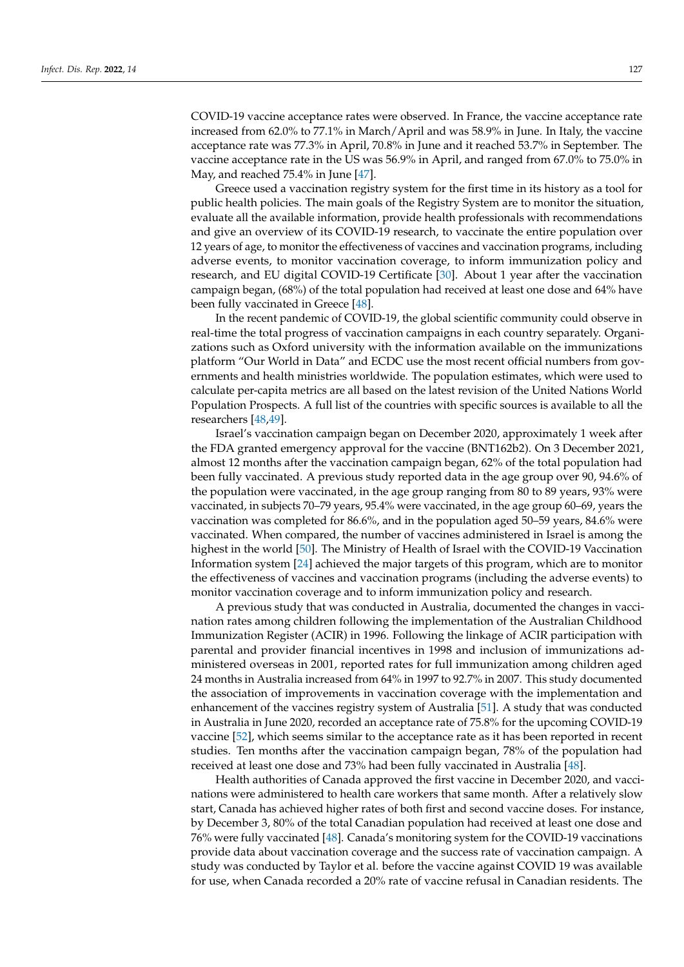COVID-19 vaccine acceptance rates were observed. In France, the vaccine acceptance rate increased from 62.0% to 77.1% in March/April and was 58.9% in June. In Italy, the vaccine acceptance rate was 77.3% in April, 70.8% in June and it reached 53.7% in September. The vaccine acceptance rate in the US was 56.9% in April, and ranged from 67.0% to 75.0% in May, and reached 75.4% in June [\[47\]](#page-11-14).

Greece used a vaccination registry system for the first time in its history as a tool for public health policies. The main goals of the Registry System are to monitor the situation, evaluate all the available information, provide health professionals with recommendations and give an overview of its COVID-19 research, to vaccinate the entire population over 12 years of age, to monitor the effectiveness of vaccines and vaccination programs, including adverse events, to monitor vaccination coverage, to inform immunization policy and research, and EU digital COVID-19 Certificate [\[30\]](#page-10-21). About 1 year after the vaccination campaign began, (68%) of the total population had received at least one dose and 64% have been fully vaccinated in Greece [\[48\]](#page-11-15).

In the recent pandemic of COVID-19, the global scientific community could observe in real-time the total progress of vaccination campaigns in each country separately. Organizations such as Oxford university with the information available on the immunizations platform "Our World in Data" and ECDC use the most recent official numbers from governments and health ministries worldwide. The population estimates, which were used to calculate per-capita metrics are all based on the latest revision of the United Nations World Population Prospects. A full list of the countries with specific sources is available to all the researchers [\[48,](#page-11-15)[49\]](#page-11-16).

Israel's vaccination campaign began on December 2020, approximately 1 week after the FDA granted emergency approval for the vaccine (BNT162b2). On 3 December 2021, almost 12 months after the vaccination campaign began, 62% of the total population had been fully vaccinated. A previous study reported data in the age group over 90, 94.6% of the population were vaccinated, in the age group ranging from 80 to 89 years, 93% were vaccinated, in subjects 70–79 years, 95.4% were vaccinated, in the age group 60–69, years the vaccination was completed for 86.6%, and in the population aged 50–59 years, 84.6% were vaccinated. When compared, the number of vaccines administered in Israel is among the highest in the world [\[50\]](#page-11-17). The Ministry of Health of Israel with the COVID-19 Vaccination Information system [\[24\]](#page-10-15) achieved the major targets of this program, which are to monitor the effectiveness of vaccines and vaccination programs (including the adverse events) to monitor vaccination coverage and to inform immunization policy and research.

A previous study that was conducted in Australia, documented the changes in vaccination rates among children following the implementation of the Australian Childhood Immunization Register (ACIR) in 1996. Following the linkage of ACIR participation with parental and provider financial incentives in 1998 and inclusion of immunizations administered overseas in 2001, reported rates for full immunization among children aged 24 months in Australia increased from 64% in 1997 to 92.7% in 2007. This study documented the association of improvements in vaccination coverage with the implementation and enhancement of the vaccines registry system of Australia [\[51\]](#page-11-18). A study that was conducted in Australia in June 2020, recorded an acceptance rate of 75.8% for the upcoming COVID-19 vaccine [\[52\]](#page-11-19), which seems similar to the acceptance rate as it has been reported in recent studies. Ten months after the vaccination campaign began, 78% of the population had received at least one dose and 73% had been fully vaccinated in Australia [\[48\]](#page-11-15).

Health authorities of Canada approved the first vaccine in December 2020, and vaccinations were administered to health care workers that same month. After a relatively slow start, Canada has achieved higher rates of both first and second vaccine doses. For instance, by December 3, 80% of the total Canadian population had received at least one dose and 76% were fully vaccinated [\[48\]](#page-11-15). Canada's monitoring system for the COVID-19 vaccinations provide data about vaccination coverage and the success rate of vaccination campaign. A study was conducted by Taylor et al. before the vaccine against COVID 19 was available for use, when Canada recorded a 20% rate of vaccine refusal in Canadian residents. The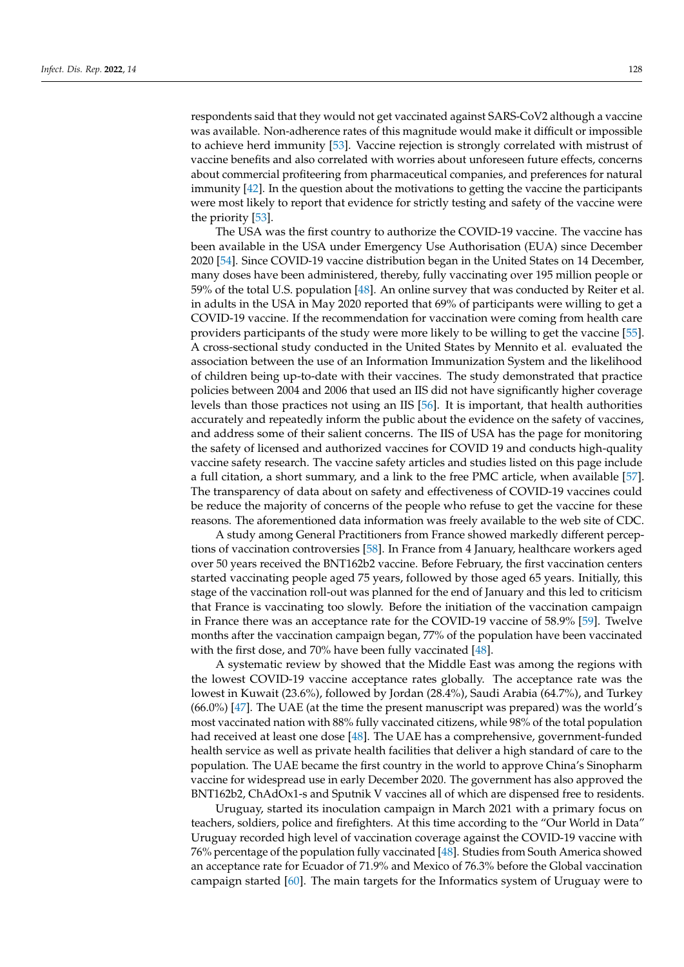respondents said that they would not get vaccinated against SARS-CoV2 although a vaccine was available. Non-adherence rates of this magnitude would make it difficult or impossible to achieve herd immunity [\[53\]](#page-11-20). Vaccine rejection is strongly correlated with mistrust of vaccine benefits and also correlated with worries about unforeseen future effects, concerns about commercial profiteering from pharmaceutical companies, and preferences for natural immunity [\[42\]](#page-11-21). In the question about the motivations to getting the vaccine the participants were most likely to report that evidence for strictly testing and safety of the vaccine were the priority [\[53\]](#page-11-20).

The USA was the first country to authorize the COVID-19 vaccine. The vaccine has been available in the USA under Emergency Use Authorisation (EUA) since December 2020 [\[54\]](#page-11-22). Since COVID-19 vaccine distribution began in the United States on 14 December, many doses have been administered, thereby, fully vaccinating over 195 million people or 59% of the total U.S. population [\[48\]](#page-11-15). An online survey that was conducted by Reiter et al. in adults in the USA in May 2020 reported that 69% of participants were willing to get a COVID-19 vaccine. If the recommendation for vaccination were coming from health care providers participants of the study were more likely to be willing to get the vaccine [\[55\]](#page-11-23). A cross-sectional study conducted in the United States by Mennito et al. evaluated the association between the use of an Information Immunization System and the likelihood of children being up-to-date with their vaccines. The study demonstrated that practice policies between 2004 and 2006 that used an IIS did not have significantly higher coverage levels than those practices not using an IIS [\[56\]](#page-11-24). It is important, that health authorities accurately and repeatedly inform the public about the evidence on the safety of vaccines, and address some of their salient concerns. The IIS of USA has the page for monitoring the safety of licensed and authorized vaccines for COVID 19 and conducts high-quality vaccine safety research. The vaccine safety articles and studies listed on this page include a full citation, a short summary, and a link to the free PMC article, when available [\[57\]](#page-12-0). The transparency of data about on safety and effectiveness of COVID-19 vaccines could be reduce the majority of concerns of the people who refuse to get the vaccine for these reasons. The aforementioned data information was freely available to the web site of CDC.

A study among General Practitioners from France showed markedly different perceptions of vaccination controversies [\[58\]](#page-12-1). In France from 4 January, healthcare workers aged over 50 years received the BNT162b2 vaccine. Before February, the first vaccination centers started vaccinating people aged 75 years, followed by those aged 65 years. Initially, this stage of the vaccination roll-out was planned for the end of January and this led to criticism that France is vaccinating too slowly. Before the initiation of the vaccination campaign in France there was an acceptance rate for the COVID-19 vaccine of 58.9% [\[59\]](#page-12-2). Twelve months after the vaccination campaign began, 77% of the population have been vaccinated with the first dose, and 70% have been fully vaccinated [\[48\]](#page-11-15).

A systematic review by showed that the Middle East was among the regions with the lowest COVID-19 vaccine acceptance rates globally. The acceptance rate was the lowest in Kuwait (23.6%), followed by Jordan (28.4%), Saudi Arabia (64.7%), and Turkey (66.0%) [\[47\]](#page-11-14). The UAE (at the time the present manuscript was prepared) was the world's most vaccinated nation with 88% fully vaccinated citizens, while 98% of the total population had received at least one dose [\[48\]](#page-11-15). The UAE has a comprehensive, government-funded health service as well as private health facilities that deliver a high standard of care to the population. The UAE became the first country in the world to approve China's Sinopharm vaccine for widespread use in early December 2020. The government has also approved the BNT162b2, ChAdOx1-s and Sputnik V vaccines all of which are dispensed free to residents.

Uruguay, started its inoculation campaign in March 2021 with a primary focus on teachers, soldiers, police and firefighters. At this time according to the "Our World in Data" Uruguay recorded high level of vaccination coverage against the COVID-19 vaccine with 76% percentage of the population fully vaccinated [\[48\]](#page-11-15). Studies from South America showed an acceptance rate for Ecuador of 71.9% and Mexico of 76.3% before the Global vaccination campaign started [\[60\]](#page-12-3). The main targets for the Informatics system of Uruguay were to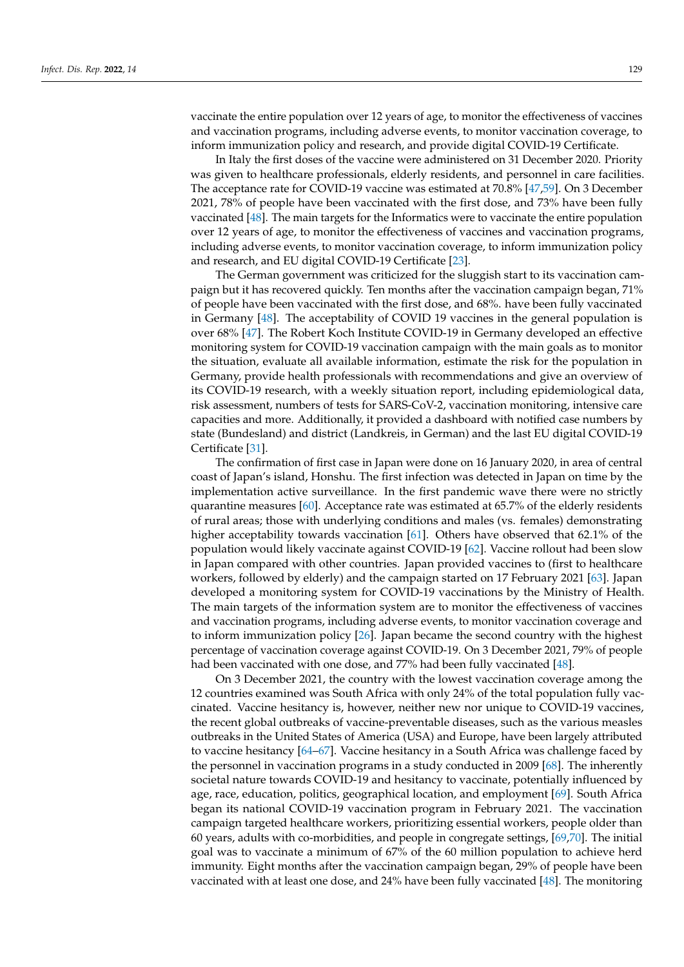vaccinate the entire population over 12 years of age, to monitor the effectiveness of vaccines and vaccination programs, including adverse events, to monitor vaccination coverage, to inform immunization policy and research, and provide digital COVID-19 Certificate.

In Italy the first doses of the vaccine were administered on 31 December 2020. Priority was given to healthcare professionals, elderly residents, and personnel in care facilities. The acceptance rate for COVID-19 vaccine was estimated at 70.8% [\[47](#page-11-14)[,59\]](#page-12-2). On 3 December 2021, 78% of people have been vaccinated with the first dose, and 73% have been fully vaccinated [\[48\]](#page-11-15). The main targets for the Informatics were to vaccinate the entire population over 12 years of age, to monitor the effectiveness of vaccines and vaccination programs, including adverse events, to monitor vaccination coverage, to inform immunization policy and research, and EU digital COVID-19 Certificate [\[23\]](#page-10-14).

The German government was criticized for the sluggish start to its vaccination campaign but it has recovered quickly. Ten months after the vaccination campaign began, 71% of people have been vaccinated with the first dose, and 68%. have been fully vaccinated in Germany [\[48\]](#page-11-15). The acceptability of COVID 19 vaccines in the general population is over 68% [\[47\]](#page-11-14). The Robert Koch Institute COVID-19 in Germany developed an effective monitoring system for COVID-19 vaccination campaign with the main goals as to monitor the situation, evaluate all available information, estimate the risk for the population in Germany, provide health professionals with recommendations and give an overview of its COVID-19 research, with a weekly situation report, including epidemiological data, risk assessment, numbers of tests for SARS-CoV-2, vaccination monitoring, intensive care capacities and more. Additionally, it provided a dashboard with notified case numbers by state (Bundesland) and district (Landkreis, in German) and the last EU digital COVID-19 Certificate [\[31\]](#page-10-22).

The confirmation of first case in Japan were done on 16 January 2020, in area of central coast of Japan's island, Honshu. The first infection was detected in Japan on time by the implementation active surveillance. In the first pandemic wave there were no strictly quarantine measures [\[60\]](#page-12-3). Acceptance rate was estimated at 65.7% of the elderly residents of rural areas; those with underlying conditions and males (vs. females) demonstrating higher acceptability towards vaccination [\[61\]](#page-12-4). Others have observed that 62.1% of the population would likely vaccinate against COVID-19 [\[62\]](#page-12-5). Vaccine rollout had been slow in Japan compared with other countries. Japan provided vaccines to (first to healthcare workers, followed by elderly) and the campaign started on 17 February 2021 [\[63\]](#page-12-6). Japan developed a monitoring system for COVID-19 vaccinations by the Ministry of Health. The main targets of the information system are to monitor the effectiveness of vaccines and vaccination programs, including adverse events, to monitor vaccination coverage and to inform immunization policy [\[26\]](#page-10-17). Japan became the second country with the highest percentage of vaccination coverage against COVID-19. On 3 December 2021, 79% of people had been vaccinated with one dose, and 77% had been fully vaccinated [\[48\]](#page-11-15).

On 3 December 2021, the country with the lowest vaccination coverage among the 12 countries examined was South Africa with only 24% of the total population fully vaccinated. Vaccine hesitancy is, however, neither new nor unique to COVID-19 vaccines, the recent global outbreaks of vaccine-preventable diseases, such as the various measles outbreaks in the United States of America (USA) and Europe, have been largely attributed to vaccine hesitancy [\[64](#page-12-7)[–67\]](#page-12-8). Vaccine hesitancy in a South Africa was challenge faced by the personnel in vaccination programs in a study conducted in 2009 [\[68\]](#page-12-9). The inherently societal nature towards COVID-19 and hesitancy to vaccinate, potentially influenced by age, race, education, politics, geographical location, and employment [\[69\]](#page-12-10). South Africa began its national COVID-19 vaccination program in February 2021. The vaccination campaign targeted healthcare workers, prioritizing essential workers, people older than 60 years, adults with co-morbidities, and people in congregate settings, [\[69](#page-12-10)[,70\]](#page-12-11). The initial goal was to vaccinate a minimum of 67% of the 60 million population to achieve herd immunity. Eight months after the vaccination campaign began, 29% of people have been vaccinated with at least one dose, and 24% have been fully vaccinated [\[48\]](#page-11-15). The monitoring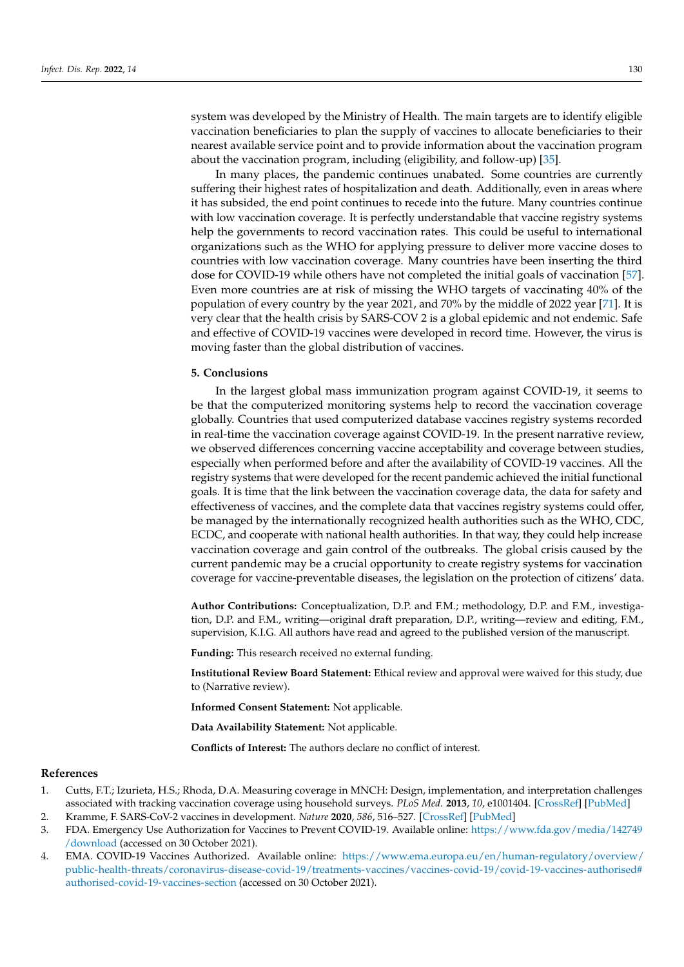system was developed by the Ministry of Health. The main targets are to identify eligible vaccination beneficiaries to plan the supply of vaccines to allocate beneficiaries to their nearest available service point and to provide information about the vaccination program about the vaccination program, including (eligibility, and follow-up) [\[35\]](#page-11-3).

In many places, the pandemic continues unabated. Some countries are currently suffering their highest rates of hospitalization and death. Additionally, even in areas where it has subsided, the end point continues to recede into the future. Many countries continue with low vaccination coverage. It is perfectly understandable that vaccine registry systems help the governments to record vaccination rates. This could be useful to international organizations such as the WHO for applying pressure to deliver more vaccine doses to countries with low vaccination coverage. Many countries have been inserting the third dose for COVID-19 while others have not completed the initial goals of vaccination [\[57\]](#page-12-0). Even more countries are at risk of missing the WHO targets of vaccinating 40% of the population of every country by the year 2021, and 70% by the middle of 2022 year [\[71\]](#page-12-12). It is very clear that the health crisis by SARS-COV 2 is a global epidemic and not endemic. Safe and effective of COVID-19 vaccines were developed in record time. However, the virus is moving faster than the global distribution of vaccines.

### **5. Conclusions**

In the largest global mass immunization program against COVID-19, it seems to be that the computerized monitoring systems help to record the vaccination coverage globally. Countries that used computerized database vaccines registry systems recorded in real-time the vaccination coverage against COVID-19. In the present narrative review, we observed differences concerning vaccine acceptability and coverage between studies, especially when performed before and after the availability of COVID-19 vaccines. All the registry systems that were developed for the recent pandemic achieved the initial functional goals. It is time that the link between the vaccination coverage data, the data for safety and effectiveness of vaccines, and the complete data that vaccines registry systems could offer, be managed by the internationally recognized health authorities such as the WHO, CDC, ECDC, and cooperate with national health authorities. In that way, they could help increase vaccination coverage and gain control of the outbreaks. The global crisis caused by the current pandemic may be a crucial opportunity to create registry systems for vaccination coverage for vaccine-preventable diseases, the legislation on the protection of citizens' data.

**Author Contributions:** Conceptualization, D.P. and F.M.; methodology, D.P. and F.M., investigation, D.P. and F.M., writing—original draft preparation, D.P., writing—review and editing, F.M., supervision, K.I.G. All authors have read and agreed to the published version of the manuscript.

**Funding:** This research received no external funding.

**Institutional Review Board Statement:** Ethical review and approval were waived for this study, due to (Narrative review).

**Informed Consent Statement:** Not applicable.

**Data Availability Statement:** Not applicable.

**Conflicts of Interest:** The authors declare no conflict of interest.

#### **References**

- <span id="page-9-0"></span>1. Cutts, F.T.; Izurieta, H.S.; Rhoda, D.A. Measuring coverage in MNCH: Design, implementation, and interpretation challenges associated with tracking vaccination coverage using household surveys. *PLoS Med.* **2013**, *10*, e1001404. [\[CrossRef\]](http://doi.org/10.1371/journal.pmed.1001404) [\[PubMed\]](http://www.ncbi.nlm.nih.gov/pubmed/23667334)
- <span id="page-9-1"></span>2. Kramme, F. SARS-CoV-2 vaccines in development. *Nature* **2020**, *586*, 516–527. [\[CrossRef\]](http://doi.org/10.1038/s41586-020-2798-3) [\[PubMed\]](http://www.ncbi.nlm.nih.gov/pubmed/32967006)
- <span id="page-9-2"></span>3. FDA. Emergency Use Authorization for Vaccines to Prevent COVID-19. Available online: [https://www.fda.gov/media/142749](https://www.fda.gov/media/142749/download) [/download](https://www.fda.gov/media/142749/download) (accessed on 30 October 2021).
- <span id="page-9-3"></span>4. EMA. COVID-19 Vaccines Authorized. Available online: [https://www.ema.europa.eu/en/human-regulatory/overview/](https://www.ema.europa.eu/en/human-regulatory/overview/public-health-threats/coronavirus-disease-covid-19/treatments-vaccines/vaccines-covid-19/covid-19-vaccines-authorised#authorised-covid-19-vaccines-section) [public-health-threats/coronavirus-disease-covid-19/treatments-vaccines/vaccines-covid-19/covid-19-vaccines-authorised#](https://www.ema.europa.eu/en/human-regulatory/overview/public-health-threats/coronavirus-disease-covid-19/treatments-vaccines/vaccines-covid-19/covid-19-vaccines-authorised#authorised-covid-19-vaccines-section) [authorised-covid-19-vaccines-section](https://www.ema.europa.eu/en/human-regulatory/overview/public-health-threats/coronavirus-disease-covid-19/treatments-vaccines/vaccines-covid-19/covid-19-vaccines-authorised#authorised-covid-19-vaccines-section) (accessed on 30 October 2021).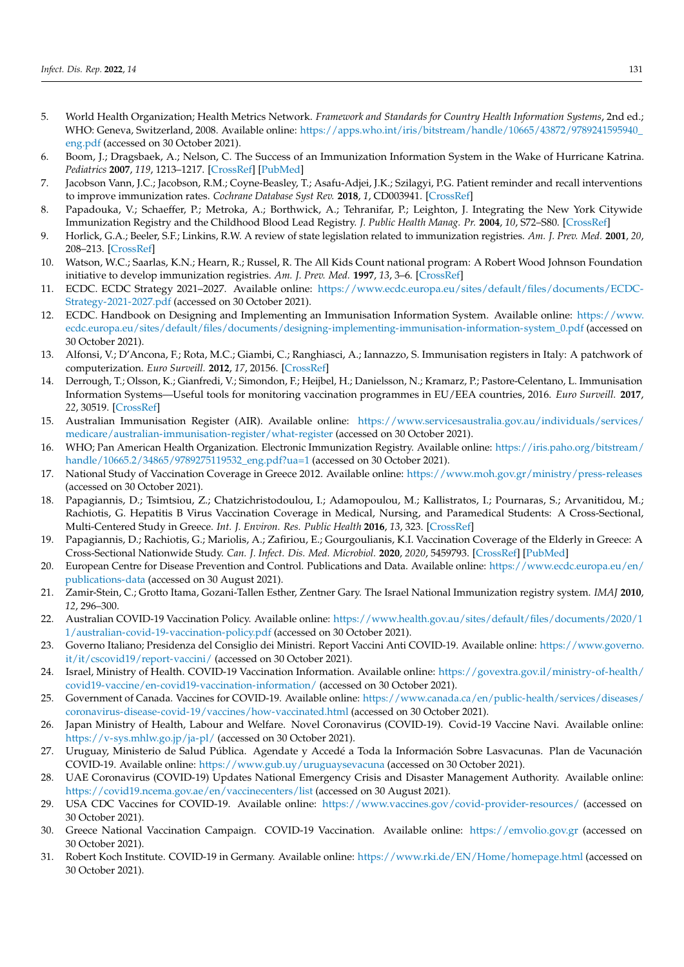- <span id="page-10-0"></span>5. World Health Organization; Health Metrics Network. *Framework and Standards for Country Health Information Systems*, 2nd ed.; WHO: Geneva, Switzerland, 2008. Available online: [https://apps.who.int/iris/bitstream/handle/10665/43872/9789241595940\\_](https://apps.who.int/iris/bitstream/handle/10665/43872/9789241595940_eng.pdf) [eng.pdf](https://apps.who.int/iris/bitstream/handle/10665/43872/9789241595940_eng.pdf) (accessed on 30 October 2021).
- <span id="page-10-1"></span>6. Boom, J.; Dragsbaek, A.; Nelson, C. The Success of an Immunization Information System in the Wake of Hurricane Katrina. *Pediatrics* **2007**, *119*, 1213–1217. [\[CrossRef\]](http://doi.org/10.1542/peds.2006-3251) [\[PubMed\]](http://www.ncbi.nlm.nih.gov/pubmed/17545393)
- <span id="page-10-2"></span>7. Jacobson Vann, J.C.; Jacobson, R.M.; Coyne-Beasley, T.; Asafu-Adjei, J.K.; Szilagyi, P.G. Patient reminder and recall interventions to improve immunization rates. *Cochrane Database Syst Rev.* **2018**, *1*, CD003941. [\[CrossRef\]](http://doi.org/10.1002/14651858.CD003941.pub3)
- <span id="page-10-3"></span>8. Papadouka, V.; Schaeffer, P.; Metroka, A.; Borthwick, A.; Tehranifar, P.; Leighton, J. Integrating the New York Citywide Immunization Registry and the Childhood Blood Lead Registry. *J. Public Health Manag. Pr.* **2004**, *10*, S72–S80. [\[CrossRef\]](http://doi.org/10.1097/00124784-200411001-00012)
- <span id="page-10-4"></span>9. Horlick, G.A.; Beeler, S.F.; Linkins, R.W. A review of state legislation related to immunization registries. *Am. J. Prev. Med.* **2001**, *20*, 208–213. [\[CrossRef\]](http://doi.org/10.1016/S0749-3797(00)00309-3)
- <span id="page-10-5"></span>10. Watson, W.C.; Saarlas, K.N.; Hearn, R.; Russel, R. The All Kids Count national program: A Robert Wood Johnson Foundation initiative to develop immunization registries. *Am. J. Prev. Med.* **1997**, *13*, 3–6. [\[CrossRef\]](http://doi.org/10.1016/S0749-3797(18)30104-1)
- <span id="page-10-6"></span>11. ECDC. ECDC Strategy 2021–2027. Available online: [https://www.ecdc.europa.eu/sites/default/files/documents/ECDC-](https://www.ecdc.europa.eu/sites/default/files/documents/ECDC-Strategy-2021-2027.pdf)[Strategy-2021-2027.pdf](https://www.ecdc.europa.eu/sites/default/files/documents/ECDC-Strategy-2021-2027.pdf) (accessed on 30 October 2021).
- <span id="page-10-7"></span>12. ECDC. Handbook on Designing and Implementing an Immunisation Information System. Available online: [https://www.](https://www.ecdc.europa.eu/sites/default/files/documents/designing-implementing-immunisation-information-system_0.pdf) [ecdc.europa.eu/sites/default/files/documents/designing-implementing-immunisation-information-system\\_0.pdf](https://www.ecdc.europa.eu/sites/default/files/documents/designing-implementing-immunisation-information-system_0.pdf) (accessed on 30 October 2021).
- <span id="page-10-8"></span>13. Alfonsi, V.; D'Ancona, F.; Rota, M.C.; Giambi, C.; Ranghiasci, A.; Iannazzo, S. Immunisation registers in Italy: A patchwork of computerization. *Euro Surveill.* **2012**, *17*, 20156. [\[CrossRef\]](http://doi.org/10.2807/ese.17.17.20156-en)
- <span id="page-10-9"></span>14. Derrough, T.; Olsson, K.; Gianfredi, V.; Simondon, F.; Heijbel, H.; Danielsson, N.; Kramarz, P.; Pastore-Celentano, L. Immunisation Information Systems—Useful tools for monitoring vaccination programmes in EU/EEA countries, 2016. *Euro Surveill.* **2017**, *22*, 30519. [\[CrossRef\]](http://doi.org/10.2807/1560-7917.ES.2017.22.17.30519)
- <span id="page-10-10"></span>15. Australian Immunisation Register (AIR). Available online: [https://www.servicesaustralia.gov.au/individuals/services/](https://www.servicesaustralia.gov.au/individuals/services/medicare/australian-immunisation-register/what-register) [medicare/australian-immunisation-register/what-register](https://www.servicesaustralia.gov.au/individuals/services/medicare/australian-immunisation-register/what-register) (accessed on 30 October 2021).
- 16. WHO; Pan American Health Organization. Electronic Immunization Registry. Available online: [https://iris.paho.org/bitstream/](https://iris.paho.org/bitstream/handle/10665.2/34865/9789275119532_eng.pdf?ua=1) [handle/10665.2/34865/9789275119532\\_eng.pdf?ua=1](https://iris.paho.org/bitstream/handle/10665.2/34865/9789275119532_eng.pdf?ua=1) (accessed on 30 October 2021).
- 17. National Study of Vaccination Coverage in Greece 2012. Available online: <https://www.moh.gov.gr/ministry/press-releases> (accessed on 30 October 2021).
- 18. Papagiannis, D.; Tsimtsiou, Z.; Chatzichristodoulou, I.; Adamopoulou, M.; Kallistratos, I.; Pournaras, S.; Arvanitidou, M.; Rachiotis, G. Hepatitis B Virus Vaccination Coverage in Medical, Nursing, and Paramedical Students: A Cross-Sectional, Multi-Centered Study in Greece. *Int. J. Environ. Res. Public Health* **2016**, *13*, 323. [\[CrossRef\]](http://doi.org/10.3390/ijerph13030323)
- 19. Papagiannis, D.; Rachiotis, G.; Mariolis, A.; Zafiriou, E.; Gourgoulianis, K.I. Vaccination Coverage of the Elderly in Greece: A Cross-Sectional Nationwide Study. *Can. J. Infect. Dis. Med. Microbiol.* **2020**, *2020*, 5459793. [\[CrossRef\]](http://doi.org/10.1155/2020/5459793) [\[PubMed\]](http://www.ncbi.nlm.nih.gov/pubmed/32670440)
- <span id="page-10-11"></span>20. European Centre for Disease Prevention and Control. Publications and Data. Available online: [https://www.ecdc.europa.eu/en/](https://www.ecdc.europa.eu/en/publications-data) [publications-data](https://www.ecdc.europa.eu/en/publications-data) (accessed on 30 August 2021).
- <span id="page-10-12"></span>21. Zamir-Stein, C.; Grotto Itama, Gozani-Tallen Esther, Zentner Gary. The Israel National Immunization registry system. *IMAJ* **2010**, *12*, 296–300.
- <span id="page-10-13"></span>22. Australian COVID-19 Vaccination Policy. Available online: [https://www.health.gov.au/sites/default/files/documents/2020/1](https://www.health.gov.au/sites/default/files/documents/2020/11/australian-covid-19-vaccination-policy.pdf) [1/australian-covid-19-vaccination-policy.pdf](https://www.health.gov.au/sites/default/files/documents/2020/11/australian-covid-19-vaccination-policy.pdf) (accessed on 30 October 2021).
- <span id="page-10-14"></span>23. Governo Italiano; Presidenza del Consiglio dei Ministri. Report Vaccini Anti COVID-19. Available online: [https://www.governo.](https://www.governo.it/it/cscovid19/report-vaccini/) [it/it/cscovid19/report-vaccini/](https://www.governo.it/it/cscovid19/report-vaccini/) (accessed on 30 October 2021).
- <span id="page-10-15"></span>24. Israel, Ministry of Health. COVID-19 Vaccination Information. Available online: [https://govextra.gov.il/ministry-of-health/](https://govextra.gov.il/ministry-of-health/covid19-vaccine/en-covid19-vaccination-information/) [covid19-vaccine/en-covid19-vaccination-information/](https://govextra.gov.il/ministry-of-health/covid19-vaccine/en-covid19-vaccination-information/) (accessed on 30 October 2021).
- <span id="page-10-16"></span>25. Government of Canada. Vaccines for COVID-19. Available online: [https://www.canada.ca/en/public-health/services/diseases/](https://www.canada.ca/en/public-health/services/diseases/coronavirus-disease-covid-19/vaccines/how-vaccinated.html) [coronavirus-disease-covid-19/vaccines/how-vaccinated.html](https://www.canada.ca/en/public-health/services/diseases/coronavirus-disease-covid-19/vaccines/how-vaccinated.html) (accessed on 30 October 2021).
- <span id="page-10-17"></span>26. Japan Ministry of Health, Labour and Welfare. Novel Coronavirus (COVID-19). Covid-19 Vaccine Navi. Available online: <https://v-sys.mhlw.go.jp/ja-pl/> (accessed on 30 October 2021).
- <span id="page-10-18"></span>27. Uruguay, Ministerio de Salud Pública. Agendate y Accedé a Toda la Información Sobre Lasvacunas. Plan de Vacunación COVID-19. Available online: <https://www.gub.uy/uruguaysevacuna> (accessed on 30 October 2021).
- <span id="page-10-19"></span>28. UAE Coronavirus (COVID-19) Updates National Emergency Crisis and Disaster Management Authority. Available online: <https://covid19.ncema.gov.ae/en/vaccinecenters/list> (accessed on 30 August 2021).
- <span id="page-10-20"></span>29. USA CDC Vaccines for COVID-19. Available online: <https://www.vaccines.gov/covid-provider-resources/> (accessed on 30 October 2021).
- <span id="page-10-21"></span>30. Greece National Vaccination Campaign. COVID-19 Vaccination. Available online: <https://emvolio.gov.gr> (accessed on 30 October 2021).
- <span id="page-10-22"></span>31. Robert Koch Institute. COVID-19 in Germany. Available online: <https://www.rki.de/EN/Home/homepage.html> (accessed on 30 October 2021).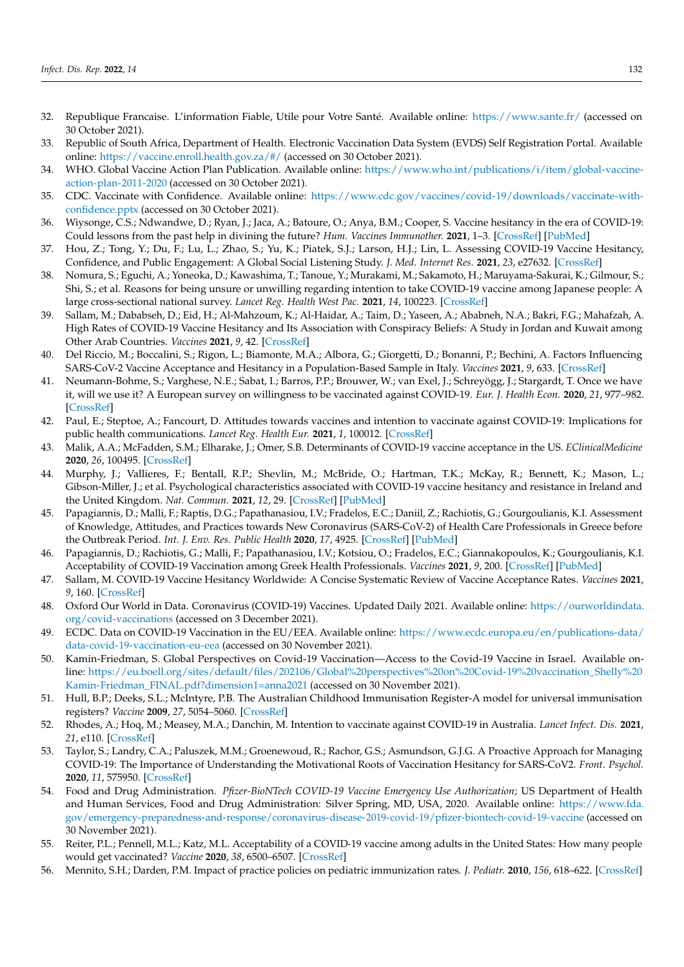- <span id="page-11-0"></span>32. Republique Francaise. L'information Fiable, Utile pour Votre Santé. Available online: <https://www.sante.fr/> (accessed on 30 October 2021).
- <span id="page-11-1"></span>33. Republic of South Africa, Department of Health. Electronic Vaccination Data System (EVDS) Self Registration Portal. Available online: <https://vaccine.enroll.health.gov.za/#/> (accessed on 30 October 2021).
- <span id="page-11-2"></span>34. WHO. Global Vaccine Action Plan Publication. Available online: [https://www.who.int/publications/i/item/global-vaccine](https://www.who.int/publications/i/item/global-vaccine-action-plan-2011-2020)[action-plan-2011-2020](https://www.who.int/publications/i/item/global-vaccine-action-plan-2011-2020) (accessed on 30 October 2021).
- <span id="page-11-3"></span>35. CDC. Vaccinate with Confidence. Available online: [https://www.cdc.gov/vaccines/covid-19/downloads/vaccinate-with](https://www.cdc.gov/vaccines/covid-19/downloads/vaccinate-with-confidence.pptx)[confidence.pptx](https://www.cdc.gov/vaccines/covid-19/downloads/vaccinate-with-confidence.pptx) (accessed on 30 October 2021).
- <span id="page-11-4"></span>36. Wiysonge, C.S.; Ndwandwe, D.; Ryan, J.; Jaca, A.; Batoure, O.; Anya, B.M.; Cooper, S. Vaccine hesitancy in the era of COVID-19: Could lessons from the past help in divining the future? *Hum. Vaccines Immunother.* **2021**, 1–3. [\[CrossRef\]](http://doi.org/10.1080/21645515.2021.1893062) [\[PubMed\]](http://www.ncbi.nlm.nih.gov/pubmed/33684019)
- <span id="page-11-5"></span>37. Hou, Z.; Tong, Y.; Du, F.; Lu, L.; Zhao, S.; Yu, K.; Piatek, S.J.; Larson, H.J.; Lin, L. Assessing COVID-19 Vaccine Hesitancy, Confidence, and Public Engagement: A Global Social Listening Study. *J. Med. Internet Res.* **2021**, *23*, e27632. [\[CrossRef\]](http://doi.org/10.2196/27632)
- <span id="page-11-6"></span>38. Nomura, S.; Eguchi, A.; Yoneoka, D.; Kawashima, T.; Tanoue, Y.; Murakami, M.; Sakamoto, H.; Maruyama-Sakurai, K.; Gilmour, S.; Shi, S.; et al. Reasons for being unsure or unwilling regarding intention to take COVID-19 vaccine among Japanese people: A large cross-sectional national survey. *Lancet Reg. Health West Pac.* **2021**, *14*, 100223. [\[CrossRef\]](http://doi.org/10.1016/j.lanwpc.2021.100223)
- <span id="page-11-7"></span>39. Sallam, M.; Dababseh, D.; Eid, H.; Al-Mahzoum, K.; Al-Haidar, A.; Taim, D.; Yaseen, A.; Ababneh, N.A.; Bakri, F.G.; Mahafzah, A. High Rates of COVID-19 Vaccine Hesitancy and Its Association with Conspiracy Beliefs: A Study in Jordan and Kuwait among Other Arab Countries. *Vaccines* **2021**, *9*, 42. [\[CrossRef\]](http://doi.org/10.3390/vaccines9010042)
- <span id="page-11-8"></span>40. Del Riccio, M.; Boccalini, S.; Rigon, L.; Biamonte, M.A.; Albora, G.; Giorgetti, D.; Bonanni, P.; Bechini, A. Factors Influencing SARS-CoV-2 Vaccine Acceptance and Hesitancy in a Population-Based Sample in Italy. *Vaccines* **2021**, *9*, 633. [\[CrossRef\]](http://doi.org/10.3390/vaccines9060633)
- <span id="page-11-9"></span>41. Neumann-Bohme, S.; Varghese, N.E.; Sabat, I.; Barros, P.P.; Brouwer, W.; van Exel, J.; Schreyögg, J.; Stargardt, T. Once we have it, will we use it? A European survey on willingness to be vaccinated against COVID-19. *Eur. J. Health Econ.* **2020**, *21*, 977–982. [\[CrossRef\]](http://doi.org/10.1007/s10198-020-01208-6)
- <span id="page-11-21"></span>42. Paul, E.; Steptoe, A.; Fancourt, D. Attitudes towards vaccines and intention to vaccinate against COVID-19: Implications for public health communications. *Lancet Reg. Health Eur.* **2021**, *1*, 100012. [\[CrossRef\]](http://doi.org/10.1016/j.lanepe.2020.100012)
- <span id="page-11-10"></span>43. Malik, A.A.; McFadden, S.M.; Elharake, J.; Omer, S.B. Determinants of COVID-19 vaccine acceptance in the US. *EClinicalMedicine* **2020**, *26*, 100495. [\[CrossRef\]](http://doi.org/10.1016/j.eclinm.2020.100495)
- <span id="page-11-11"></span>44. Murphy, J.; Vallieres, F.; Bentall, R.P.; Shevlin, M.; McBride, O.; Hartman, T.K.; McKay, R.; Bennett, K.; Mason, L.; Gibson-Miller, J.; et al. Psychological characteristics associated with COVID-19 vaccine hesitancy and resistance in Ireland and the United Kingdom. *Nat. Commun.* **2021**, *12*, 29. [\[CrossRef\]](http://doi.org/10.1038/s41467-020-20226-9) [\[PubMed\]](http://www.ncbi.nlm.nih.gov/pubmed/33397962)
- <span id="page-11-12"></span>45. Papagiannis, D.; Malli, F.; Raptis, D.G.; Papathanasiou, I.V.; Fradelos, E.C.; Daniil, Z.; Rachiotis, G.; Gourgoulianis, K.I. Assessment of Knowledge, Attitudes, and Practices towards New Coronavirus (SARS-CoV-2) of Health Care Professionals in Greece before the Outbreak Period. *Int. J. Env. Res. Public Health* **2020**, *17*, 4925. [\[CrossRef\]](http://doi.org/10.3390/ijerph17144925) [\[PubMed\]](http://www.ncbi.nlm.nih.gov/pubmed/32650614)
- <span id="page-11-13"></span>46. Papagiannis, D.; Rachiotis, G.; Malli, F.; Papathanasiou, I.V.; Kotsiou, O.; Fradelos, E.C.; Giannakopoulos, K.; Gourgoulianis, K.I. Acceptability of COVID-19 Vaccination among Greek Health Professionals. *Vaccines* **2021**, *9*, 200. [\[CrossRef\]](http://doi.org/10.3390/vaccines9030200) [\[PubMed\]](http://www.ncbi.nlm.nih.gov/pubmed/33670913)
- <span id="page-11-14"></span>47. Sallam, M. COVID-19 Vaccine Hesitancy Worldwide: A Concise Systematic Review of Vaccine Acceptance Rates. *Vaccines* **2021**, *9*, 160. [\[CrossRef\]](http://doi.org/10.3390/vaccines9020160)
- <span id="page-11-15"></span>48. Oxford Our World in Data. Coronavirus (COVID-19) Vaccines. Updated Daily 2021. Available online: [https://ourworldindata.](https://ourworldindata.org/covid-vaccinations) [org/covid-vaccinations](https://ourworldindata.org/covid-vaccinations) (accessed on 3 December 2021).
- <span id="page-11-16"></span>49. ECDC. Data on COVID-19 Vaccination in the EU/EEA. Available online: [https://www.ecdc.europa.eu/en/publications-data/](https://www.ecdc.europa.eu/en/publications-data/data-covid-19-vaccination-eu-eea) [data-covid-19-vaccination-eu-eea](https://www.ecdc.europa.eu/en/publications-data/data-covid-19-vaccination-eu-eea) (accessed on 30 November 2021).
- <span id="page-11-17"></span>50. Kamin-Friedman, S. Global Perspectives on Covid-19 Vaccination—Access to the Covid-19 Vaccine in Israel. Available online: [https://eu.boell.org/sites/default/files/202106/Global%20perspectives%20on%20Covid-19%20vaccination\\_Shelly%20](https://eu.boell.org/sites/default/files/202106/Global%20perspectives%20on%20Covid-19%20vaccination_Shelly%20Kamin-Friedman_FINAL.pdf?dimension1=anna2021) [Kamin-Friedman\\_FINAL.pdf?dimension1=anna2021](https://eu.boell.org/sites/default/files/202106/Global%20perspectives%20on%20Covid-19%20vaccination_Shelly%20Kamin-Friedman_FINAL.pdf?dimension1=anna2021) (accessed on 30 November 2021).
- <span id="page-11-18"></span>51. Hull, B.P.; Deeks, S.L.; McIntyre, P.B. The Australian Childhood Immunisation Register-A model for universal immunisation registers? *Vaccine* **2009**, *27*, 5054–5060. [\[CrossRef\]](http://doi.org/10.1016/j.vaccine.2009.06.056)
- <span id="page-11-19"></span>52. Rhodes, A.; Hoq, M.; Measey, M.A.; Danchin, M. Intention to vaccinate against COVID-19 in Australia. *Lancet Infect. Dis.* **2021**, *21*, e110. [\[CrossRef\]](http://doi.org/10.1016/S1473-3099(20)30724-6)
- <span id="page-11-20"></span>53. Taylor, S.; Landry, C.A.; Paluszek, M.M.; Groenewoud, R.; Rachor, G.S.; Asmundson, G.J.G. A Proactive Approach for Managing COVID-19: The Importance of Understanding the Motivational Roots of Vaccination Hesitancy for SARS-CoV2. *Front. Psychol.* **2020**, *11*, 575950. [\[CrossRef\]](http://doi.org/10.3389/fpsyg.2020.575950)
- <span id="page-11-22"></span>54. Food and Drug Administration. *Pfizer-BioNTech COVID-19 Vaccine Emergency Use Authorization*; US Department of Health and Human Services, Food and Drug Administration: Silver Spring, MD, USA, 2020. Available online: [https://www.fda.](https://www.fda.gov/emergency-preparedness-and-response/coronavirus-disease-2019-covid-19/pfizer-biontech-covid-19-vaccine) [gov/emergency-preparedness-and-response/coronavirus-disease-2019-covid-19/pfizer-biontech-covid-19-vaccine](https://www.fda.gov/emergency-preparedness-and-response/coronavirus-disease-2019-covid-19/pfizer-biontech-covid-19-vaccine) (accessed on 30 November 2021).
- <span id="page-11-23"></span>55. Reiter, P.L.; Pennell, M.L.; Katz, M.L. Acceptability of a COVID-19 vaccine among adults in the United States: How many people would get vaccinated? *Vaccine* **2020**, *38*, 6500–6507. [\[CrossRef\]](http://doi.org/10.1016/j.vaccine.2020.08.043)
- <span id="page-11-24"></span>56. Mennito, S.H.; Darden, P.M. Impact of practice policies on pediatric immunization rates. *J. Pediatr.* **2010**, *156*, 618–622. [\[CrossRef\]](http://doi.org/10.1016/j.jpeds.2009.10.046)